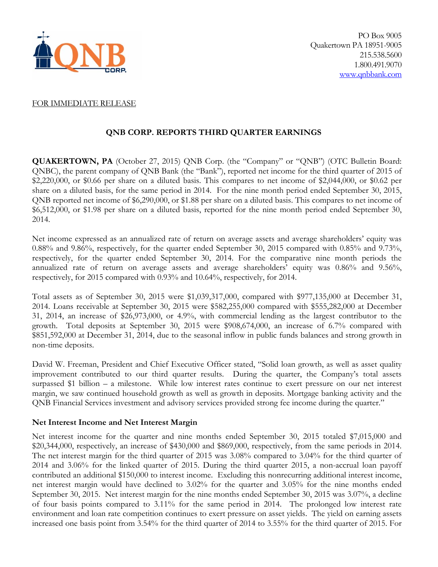

#### FOR IMMEDIATE RELEASE

# **QNB CORP. REPORTS THIRD QUARTER EARNINGS**

**QUAKERTOWN, PA** (October 27, 2015) QNB Corp. (the "Company" or "QNB") (OTC Bulletin Board: QNBC), the parent company of QNB Bank (the "Bank"), reported net income for the third quarter of 2015 of \$2,220,000, or \$0.66 per share on a diluted basis. This compares to net income of \$2,044,000, or \$0.62 per share on a diluted basis, for the same period in 2014. For the nine month period ended September 30, 2015, QNB reported net income of \$6,290,000, or \$1.88 per share on a diluted basis. This compares to net income of \$6,512,000, or \$1.98 per share on a diluted basis, reported for the nine month period ended September 30, 2014.

Net income expressed as an annualized rate of return on average assets and average shareholders' equity was 0.88% and 9.86%, respectively, for the quarter ended September 30, 2015 compared with 0.85% and 9.73%, respectively, for the quarter ended September 30, 2014. For the comparative nine month periods the annualized rate of return on average assets and average shareholders' equity was 0.86% and 9.56%, respectively, for 2015 compared with 0.93% and 10.64%, respectively, for 2014.

Total assets as of September 30, 2015 were \$1,039,317,000, compared with \$977,135,000 at December 31, 2014. Loans receivable at September 30, 2015 were \$582,255,000 compared with \$555,282,000 at December 31, 2014, an increase of \$26,973,000, or 4.9%, with commercial lending as the largest contributor to the growth. Total deposits at September 30, 2015 were \$908,674,000, an increase of 6.7% compared with \$851,592,000 at December 31, 2014, due to the seasonal inflow in public funds balances and strong growth in non-time deposits.

David W. Freeman, President and Chief Executive Officer stated, "Solid loan growth, as well as asset quality improvement contributed to our third quarter results. During the quarter, the Company's total assets surpassed \$1 billion – a milestone. While low interest rates continue to exert pressure on our net interest margin, we saw continued household growth as well as growth in deposits. Mortgage banking activity and the QNB Financial Services investment and advisory services provided strong fee income during the quarter."

### **Net Interest Income and Net Interest Margin**

Net interest income for the quarter and nine months ended September 30, 2015 totaled \$7,015,000 and \$20,344,000, respectively, an increase of \$430,000 and \$869,000, respectively, from the same periods in 2014. The net interest margin for the third quarter of 2015 was 3.08% compared to 3.04% for the third quarter of 2014 and 3.06% for the linked quarter of 2015. During the third quarter 2015, a non-accrual loan payoff contributed an additional \$150,000 to interest income. Excluding this nonrecurring additional interest income, net interest margin would have declined to 3.02% for the quarter and 3.05% for the nine months ended September 30, 2015. Net interest margin for the nine months ended September 30, 2015 was 3.07%, a decline of four basis points compared to 3.11% for the same period in 2014. The prolonged low interest rate environment and loan rate competition continues to exert pressure on asset yields. The yield on earning assets increased one basis point from 3.54% for the third quarter of 2014 to 3.55% for the third quarter of 2015. For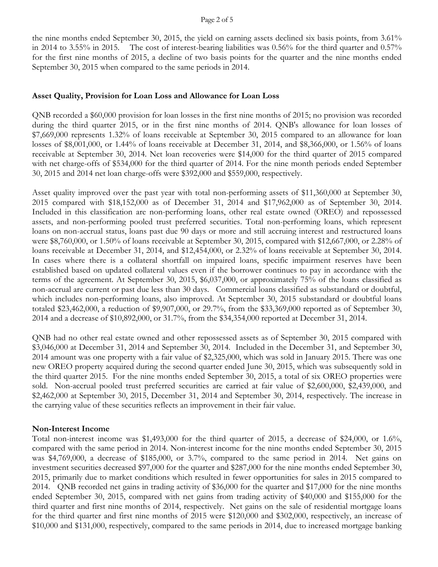the nine months ended September 30, 2015, the yield on earning assets declined six basis points, from 3.61% in 2014 to 3.55% in 2015. The cost of interest-bearing liabilities was 0.56% for the third quarter and 0.57% for the first nine months of 2015, a decline of two basis points for the quarter and the nine months ended September 30, 2015 when compared to the same periods in 2014.

### **Asset Quality, Provision for Loan Loss and Allowance for Loan Loss**

QNB recorded a \$60,000 provision for loan losses in the first nine months of 2015; no provision was recorded during the third quarter 2015, or in the first nine months of 2014. QNB's allowance for loan losses of \$7,669,000 represents 1.32% of loans receivable at September 30, 2015 compared to an allowance for loan losses of \$8,001,000, or 1.44% of loans receivable at December 31, 2014, and \$8,366,000, or 1.56% of loans receivable at September 30, 2014. Net loan recoveries were \$14,000 for the third quarter of 2015 compared with net charge-offs of \$534,000 for the third quarter of 2014. For the nine month periods ended September 30, 2015 and 2014 net loan charge-offs were \$392,000 and \$559,000, respectively.

Asset quality improved over the past year with total non-performing assets of \$11,360,000 at September 30, 2015 compared with \$18,152,000 as of December 31, 2014 and \$17,962,000 as of September 30, 2014. Included in this classification are non-performing loans, other real estate owned (OREO) and repossessed assets, and non-performing pooled trust preferred securities. Total non-performing loans, which represent loans on non-accrual status, loans past due 90 days or more and still accruing interest and restructured loans were \$8,760,000, or 1.50% of loans receivable at September 30, 2015, compared with \$12,667,000, or 2.28% of loans receivable at December 31, 2014, and \$12,454,000, or 2.32% of loans receivable at September 30, 2014. In cases where there is a collateral shortfall on impaired loans, specific impairment reserves have been established based on updated collateral values even if the borrower continues to pay in accordance with the terms of the agreement. At September 30, 2015, \$6,037,000, or approximately 75% of the loans classified as non-accrual are current or past due less than 30 days. Commercial loans classified as substandard or doubtful, which includes non-performing loans, also improved. At September 30, 2015 substandard or doubtful loans totaled \$23,462,000, a reduction of \$9,907,000, or 29.7%, from the \$33,369,000 reported as of September 30, 2014 and a decrease of \$10,892,000, or 31.7%, from the \$34,354,000 reported at December 31, 2014.

QNB had no other real estate owned and other repossessed assets as of September 30, 2015 compared with \$3,046,000 at December 31, 2014 and September 30, 2014. Included in the December 31, and September 30, 2014 amount was one property with a fair value of \$2,325,000, which was sold in January 2015. There was one new OREO property acquired during the second quarter ended June 30, 2015, which was subsequently sold in the third quarter 2015. For the nine months ended September 30, 2015, a total of six OREO properties were sold. Non-accrual pooled trust preferred securities are carried at fair value of \$2,600,000, \$2,439,000, and \$2,462,000 at September 30, 2015, December 31, 2014 and September 30, 2014, respectively. The increase in the carrying value of these securities reflects an improvement in their fair value.

## **Non-Interest Income**

Total non-interest income was \$1,493,000 for the third quarter of 2015, a decrease of \$24,000, or 1.6%, compared with the same period in 2014. Non-interest income for the nine months ended September 30, 2015 was \$4,769,000, a decrease of \$185,000, or 3.7%, compared to the same period in 2014. Net gains on investment securities decreased \$97,000 for the quarter and \$287,000 for the nine months ended September 30, 2015, primarily due to market conditions which resulted in fewer opportunities for sales in 2015 compared to 2014. QNB recorded net gains in trading activity of \$36,000 for the quarter and \$17,000 for the nine months ended September 30, 2015, compared with net gains from trading activity of \$40,000 and \$155,000 for the third quarter and first nine months of 2014, respectively. Net gains on the sale of residential mortgage loans for the third quarter and first nine months of 2015 were \$120,000 and \$302,000, respectively, an increase of \$10,000 and \$131,000, respectively, compared to the same periods in 2014, due to increased mortgage banking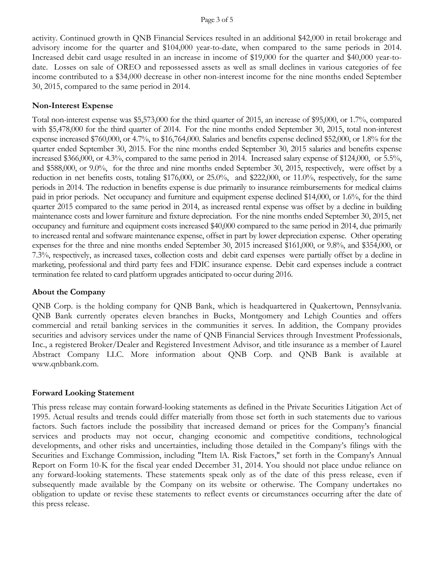activity. Continued growth in QNB Financial Services resulted in an additional \$42,000 in retail brokerage and advisory income for the quarter and \$104,000 year-to-date, when compared to the same periods in 2014. Increased debit card usage resulted in an increase in income of \$19,000 for the quarter and \$40,000 year-todate. Losses on sale of OREO and repossessed assets as well as small declines in various categories of fee income contributed to a \$34,000 decrease in other non-interest income for the nine months ended September 30, 2015, compared to the same period in 2014.

### **Non-Interest Expense**

Total non-interest expense was \$5,573,000 for the third quarter of 2015, an increase of \$95,000, or 1.7%, compared with \$5,478,000 for the third quarter of 2014. For the nine months ended September 30, 2015, total non-interest expense increased \$760,000, or 4.7%, to \$16,764,000. Salaries and benefits expense declined \$52,000, or 1.8% for the quarter ended September 30, 2015. For the nine months ended September 30, 2015 salaries and benefits expense increased \$366,000, or 4.3%, compared to the same period in 2014. Increased salary expense of \$124,000, or 5.5%, and \$588,000, or 9.0%, for the three and nine months ended September 30, 2015, respectively, were offset by a reduction in net benefits costs, totaling \$176,000, or 25.0%, and \$222,000, or 11.0%, respectively, for the same periods in 2014. The reduction in benefits expense is due primarily to insurance reimbursements for medical claims paid in prior periods. Net occupancy and furniture and equipment expense declined \$14,000, or 1.6%, for the third quarter 2015 compared to the same period in 2014, as increased rental expense was offset by a decline in building maintenance costs and lower furniture and fixture depreciation. For the nine months ended September 30, 2015, net occupancy and furniture and equipment costs increased \$40,000 compared to the same period in 2014, due primarily to increased rental and software maintenance expense, offset in part by lower depreciation expense. Other operating expenses for the three and nine months ended September 30, 2015 increased \$161,000, or 9.8%, and \$354,000, or 7.3%, respectively, as increased taxes, collection costs and debit card expenses were partially offset by a decline in marketing, professional and third party fees and FDIC insurance expense. Debit card expenses include a contract termination fee related to card platform upgrades anticipated to occur during 2016.

### **About the Company**

QNB Corp. is the holding company for QNB Bank, which is headquartered in Quakertown, Pennsylvania. QNB Bank currently operates eleven branches in Bucks, Montgomery and Lehigh Counties and offers commercial and retail banking services in the communities it serves. In addition, the Company provides securities and advisory services under the name of QNB Financial Services through Investment Professionals, Inc., a registered Broker/Dealer and Registered Investment Advisor, and title insurance as a member of Laurel Abstract Company LLC. More information about QNB Corp. and QNB Bank is available at www.qnbbank.com.

### **Forward Looking Statement**

This press release may contain forward-looking statements as defined in the Private Securities Litigation Act of 1995. Actual results and trends could differ materially from those set forth in such statements due to various factors. Such factors include the possibility that increased demand or prices for the Company's financial services and products may not occur, changing economic and competitive conditions, technological developments, and other risks and uncertainties, including those detailed in the Company's filings with the Securities and Exchange Commission, including "Item lA. Risk Factors," set forth in the Company's Annual Report on Form 10-K for the fiscal year ended December 31, 2014. You should not place undue reliance on any forward-looking statements. These statements speak only as of the date of this press release, even if subsequently made available by the Company on its website or otherwise. The Company undertakes no obligation to update or revise these statements to reflect events or circumstances occurring after the date of this press release.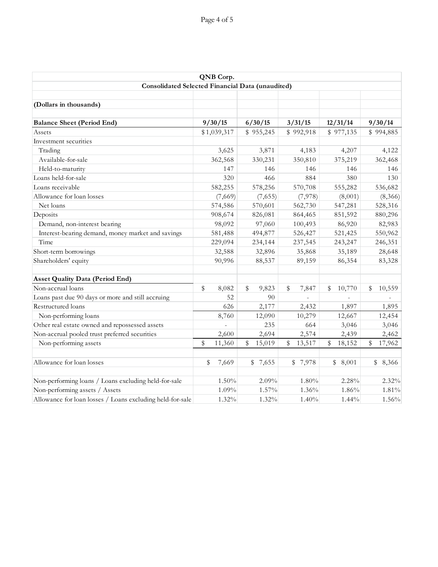| QNB Corp.                                                 |         |             |    |             |             |    |                       |             |           |  |  |  |
|-----------------------------------------------------------|---------|-------------|----|-------------|-------------|----|-----------------------|-------------|-----------|--|--|--|
| Consolidated Selected Financial Data (unaudited)          |         |             |    |             |             |    |                       |             |           |  |  |  |
|                                                           |         |             |    |             |             |    |                       |             |           |  |  |  |
| (Dollars in thousands)                                    |         |             |    |             |             |    |                       |             |           |  |  |  |
|                                                           |         |             |    |             |             |    |                       |             |           |  |  |  |
| <b>Balance Sheet (Period End)</b>                         |         | 9/30/15     |    | 6/30/15     | 3/31/15     |    | 12/31/14              |             | 9/30/14   |  |  |  |
| Assets                                                    |         | \$1,039,317 |    | \$955,245   | \$992,918   |    | \$977,135             |             | \$994,885 |  |  |  |
| Investment securities                                     |         |             |    |             |             |    |                       |             |           |  |  |  |
| Trading                                                   |         | 3,625       |    | 3,871       | 4,183       |    | 4,207                 |             | 4,122     |  |  |  |
| Available-for-sale                                        |         | 362,568     |    | 330,231     | 350,810     |    | 375,219               |             | 362,468   |  |  |  |
| Held-to-maturity                                          |         | 147         |    | 146         | 146         |    | 146                   |             | 146       |  |  |  |
| Loans held-for-sale                                       |         | 320         |    | 466         | 884         |    | 380                   |             | 130       |  |  |  |
| Loans receivable                                          |         | 582,255     |    | 578,256     | 570,708     |    | 555,282               |             | 536,682   |  |  |  |
| Allowance for loan losses                                 |         | (7,669)     |    | (7,655)     | (7,978)     |    | (8,001)               |             | (8,366)   |  |  |  |
| Net loans                                                 |         | 574,586     |    | 570,601     | 562,730     |    | 547,281               |             | 528,316   |  |  |  |
| Deposits                                                  |         | 908,674     |    | 826,081     | 864,465     |    | 851,592               |             | 880,296   |  |  |  |
| Demand, non-interest bearing                              |         | 98,092      |    | 97,060      | 100,493     |    | 86,920                |             | 82,983    |  |  |  |
| Interest-bearing demand, money market and savings         |         | 581,488     |    | 494,877     | 526,427     |    | 521,425               |             | 550,962   |  |  |  |
| Time                                                      | 229,094 |             |    | 234,144     | 237,545     |    | 243,247               |             | 246,351   |  |  |  |
| Short-term borrowings                                     | 32,588  |             |    | 32,896      | 35,868      |    | 35,189                |             | 28,648    |  |  |  |
| Shareholders' equity                                      |         | 90,996      |    | 88,537      | 89,159      |    | 86,354                |             | 83,328    |  |  |  |
| <b>Asset Quality Data (Period End)</b>                    |         |             |    |             |             |    |                       |             |           |  |  |  |
| Non-accrual loans                                         | \$      | 8,082       | \$ | 9,823       | \$<br>7,847 | \$ | 10,770                | \$          | 10,559    |  |  |  |
| Loans past due 90 days or more and still accruing         |         | 52          |    | 90          |             |    |                       |             |           |  |  |  |
| Restructured loans                                        |         | 626         |    | 2,177       | 2,432       |    | 1,897                 |             | 1,895     |  |  |  |
| Non-performing loans                                      |         | 8,760       |    | 12,090      | 10,279      |    | 12,667                |             | 12,454    |  |  |  |
| Other real estate owned and repossessed assets            |         |             |    | 235         | 664         |    | 3,046                 |             | 3,046     |  |  |  |
|                                                           |         |             |    |             |             |    |                       |             |           |  |  |  |
| Non-accrual pooled trust preferred securities             |         | 2,600       |    | 2,694       | 2,574       |    | 2,439                 |             | 2,462     |  |  |  |
| Non-performing assets                                     | \$      | 11,360      |    | \$15,019    | \$13,517    |    | \$18,152              | $\mathbb S$ | 17,962    |  |  |  |
| Allowance for loan losses                                 | \$      | 7,669       |    | 7,655<br>\$ | \$7,978     |    | $\mathbb{S}$<br>8,001 | \$          | 8,366     |  |  |  |
| Non-performing loans / Loans excluding held-for-sale      |         | 1.50%       |    | 2.09%       | 1.80%       |    | 2.28%                 |             | 2.32%     |  |  |  |
| Non-performing assets / Assets                            |         | 1.09%       |    | 1.57%       | 1.36%       |    | 1.86%                 |             | 1.81%     |  |  |  |
| Allowance for loan losses / Loans excluding held-for-sale |         | 1.32%       |    | 1.32%       | 1.40%       |    | 1.44%                 |             | 1.56%     |  |  |  |